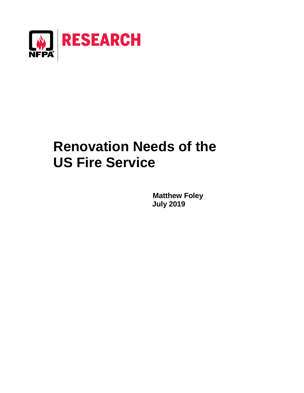

# **Renovation Needs of the US Fire Service**

**Matthew Foley July 2019**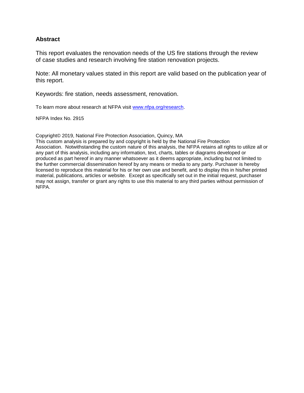#### **Abstract**

This report evaluates the renovation needs of the US fire stations through the review of case studies and research involving fire station renovation projects.

Note: All monetary values stated in this report are valid based on the publication year of this report.

Keywords: fire station, needs assessment, renovation.

To learn more about research at NFPA visit [www.nfpa.org/research.](http://www.nfpa.org/research)

NFPA Index No. 2915

Copyright© 2019, National Fire Protection Association, Quincy, MA

This custom analysis is prepared by and copyright is held by the National Fire Protection Association. Notwithstanding the custom nature of this analysis, the NFPA retains all rights to utilize all or any part of this analysis, including any information, text, charts, tables or diagrams developed or produced as part hereof in any manner whatsoever as it deems appropriate, including but not limited to the further commercial dissemination hereof by any means or media to any party. Purchaser is hereby licensed to reproduce this material for his or her own use and benefit, and to display this in his/her printed material, publications, articles or website. Except as specifically set out in the initial request, purchaser may not assign, transfer or grant any rights to use this material to any third parties without permission of NFPA.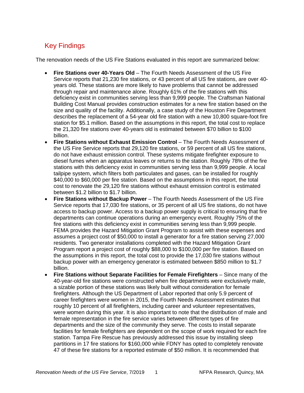## Key Findings

The renovation needs of the US Fire Stations evaluated in this report are summarized below:

- **Fire Stations over 40-Years Old** The Fourth Needs Assessment of the US Fire Service reports that 21,230 fire stations, or 43 percent of all US fire stations, are over 40 years old. These stations are more likely to have problems that cannot be addressed through repair and maintenance alone. Roughly 61% of the fire stations with this deficiency exist in communities serving less than 9,999 people. The Craftsman National Building Cost Manual provides construction estimates for a new fire station based on the size and quality of the facility. Additionally, a case study of the Houston Fire Department describes the replacement of a 54-year old fire station with a new 10,800 square-foot fire station for \$5.1 million. Based on the assumptions in this report, the total cost to replace the 21,320 fire stations over 40-years old is estimated between \$70 billion to \$100 billion.
- **Fire Stations without Exhaust Emission Control** The Fourth Needs Assessment of the US Fire Service reports that 29,120 fire stations, or 59 percent of all US fire stations, do not have exhaust emission control. These systems mitigate firefighter exposure to diesel fumes when an apparatus leaves or returns to the station. Roughly 78% of the fire stations with this deficiency exist in communities serving less than 9,999 people. A local tailpipe system, which filters both particulates and gases, can be installed for roughly \$40,000 to \$60,000 per fire station. Based on the assumptions in this report, the total cost to renovate the 29,120 fire stations without exhaust emission control is estimated between \$1.2 billion to \$1.7 billion.
- **Fire Stations without Backup Power** The Fourth Needs Assessment of the US Fire Service reports that 17,030 fire stations, or 35 percent of all US fire stations, do not have access to backup power. Access to a backup power supply is critical to ensuring that fire departments can continue operations during an emergency event. Roughly 75% of the fire stations with this deficiency exist in communities serving less than 9,999 people. FEMA provides the Hazard Mitigation Grant Program to assist with these expenses and assumes a project cost of \$50,000 to install a generator for a fire station serving 27,000 residents. Two generator installations completed with the Hazard Mitigation Grant Program report a project cost of roughly \$88,000 to \$100,000 per fire station. Based on the assumptions in this report, the total cost to provide the 17,030 fire stations without backup power with an emergency generator is estimated between \$850 million to \$1.7 billion.
- **Fire Stations without Separate Facilities for Female Firefighters** Since many of the 40-year-old fire stations were constructed when fire departments were exclusively male, a sizable portion of these stations was likely built without consideration for female firefighters. Although the US Department of Labor reported that only 5.9 percent of career firefighters were women in 2015, the Fourth Needs Assessment estimates that roughly 10 percent of all firefighters, including career and volunteer representatives, were women during this year. It is also important to note that the distribution of male and female representation in the fire service varies between different types of fire departments and the size of the community they serve. The costs to install separate facilities for female firefighters are dependent on the scope of work required for each fire station. Tampa Fire Rescue has previously addressed this issue by installing sleep partitions in 17 fire stations for \$160,000 while FDNY has opted to completely renovate 47 of these fire stations for a reported estimate of \$50 million. It is recommended that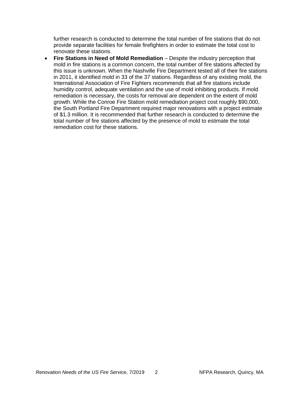further research is conducted to determine the total number of fire stations that do not provide separate facilities for female firefighters in order to estimate the total cost to renovate these stations.

• **Fire Stations in Need of Mold Remediation** – Despite the industry perception that mold in fire stations is a common concern, the total number of fire stations affected by this issue is unknown. When the Nashville Fire Department tested all of their fire stations in 2011, it identified mold in 33 of the 37 stations. Regardless of any existing mold, the International Association of Fire Fighters recommends that all fire stations include humidity control, adequate ventilation and the use of mold inhibiting products. If mold remediation is necessary, the costs for removal are dependent on the extent of mold growth. While the Conroe Fire Station mold remediation project cost roughly \$90,000, the South Portland Fire Department required major renovations with a project estimate of \$1.3 million. It is recommended that further research is conducted to determine the total number of fire stations affected by the presence of mold to estimate the total remediation cost for these stations.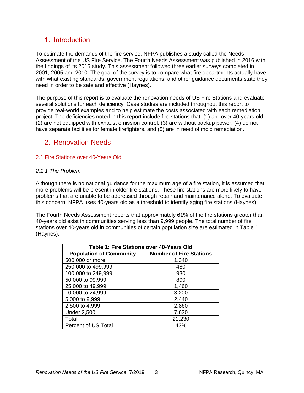## 1. Introduction

To estimate the demands of the fire service, NFPA publishes a study called the Needs Assessment of the US Fire Service. The Fourth Needs Assessment was published in 2016 with the findings of its 2015 study. This assessment followed three earlier surveys completed in 2001, 2005 and 2010. The goal of the survey is to compare what fire departments actually have with what existing standards, government regulations, and other guidance documents state they need in order to be safe and effective (Haynes).

The purpose of this report is to evaluate the renovation needs of US Fire Stations and evaluate several solutions for each deficiency. Case studies are included throughout this report to provide real-world examples and to help estimate the costs associated with each remediation project. The deficiencies noted in this report include fire stations that: (1) are over 40-years old, (2) are not equipped with exhaust emission control, (3) are without backup power, (4) do not have separate facilities for female firefighters, and (5) are in need of mold remediation.

## 2. Renovation Needs

#### 2.1 Fire Stations over 40-Years Old

#### *2.1.1 The Problem*

Although there is no national guidance for the maximum age of a fire station, it is assumed that more problems will be present in older fire stations. These fire stations are more likely to have problems that are unable to be addressed through repair and maintenance alone. To evaluate this concern, NFPA uses 40-years old as a threshold to identify aging fire stations (Haynes).

The Fourth Needs Assessment reports that approximately 61% of the fire stations greater than 40-years old exist in communities serving less than 9,999 people. The total number of fire stations over 40-years old in communities of certain population size are estimated in Table 1 (Haynes).

| Table 1: Fire Stations over 40-Years Old |                                |  |
|------------------------------------------|--------------------------------|--|
| <b>Population of Community</b>           | <b>Number of Fire Stations</b> |  |
| 500,000 or more                          | 1,340                          |  |
| 250,000 to 499,999                       | 480                            |  |
| 100,000 to 249,999                       | 930                            |  |
| 50,000 to 99,999                         | 890                            |  |
| 25,000 to 49,999                         | 1,460                          |  |
| 10,000 to 24,999                         | 3,200                          |  |
| 5,000 to 9,999                           | 2,440                          |  |
| 2,500 to 4,999                           | 2,860                          |  |
| <b>Under 2,500</b>                       | 7,630                          |  |
| Total                                    | 21,230                         |  |
| Percent of US Total                      | 43%                            |  |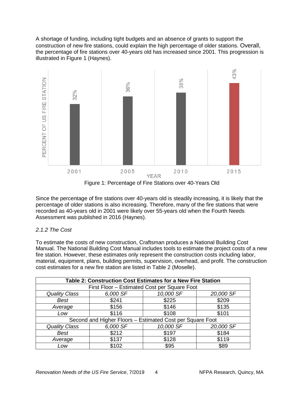A shortage of funding, including tight budgets and an absence of grants to support the construction of new fire stations, could explain the high percentage of older stations. Overall, the percentage of fire stations over 40-years old has increased since 2001. This progression is illustrated in Figure 1 (Haynes).



Figure 1: Percentage of Fire Stations over 40-Years Old

Since the percentage of fire stations over 40-years old is steadily increasing, it is likely that the percentage of older stations is also increasing. Therefore, many of the fire stations that were recorded as 40-years old in 2001 were likely over 55-years old when the Fourth Needs Assessment was published in 2016 (Haynes).

#### *2.1.2 The Cost*

To estimate the costs of new construction, Craftsman produces a National Building Cost Manual. The National Building Cost Manual includes tools to estimate the project costs of a new fire station. However, these estimates only represent the construction costs including labor, material, equipment, plans, building permits, supervision, overhead, and profit. The construction cost estimates for a new fire station are listed in Table 2 (Moselle).

| Table 2: Construction Cost Estimates for a New Fire Station |                                              |           |           |  |
|-------------------------------------------------------------|----------------------------------------------|-----------|-----------|--|
|                                                             | First Floor - Estimated Cost per Square Foot |           |           |  |
| <b>Quality Class</b>                                        | 6,000 SF                                     | 10,000 SF | 20,000 SF |  |
| Best                                                        | \$241                                        | \$225     | \$209     |  |
| Average                                                     | \$156                                        | \$146     | \$135     |  |
| Low                                                         | \$116                                        | \$108     | \$101     |  |
| Second and Higher Floors - Estimated Cost per Square Foot   |                                              |           |           |  |
| <b>Quality Class</b>                                        | 6,000 SF                                     | 10,000 SF | 20,000 SF |  |
| <b>Best</b>                                                 | \$212                                        | \$197     | \$184     |  |
| Average                                                     | \$137                                        | \$128     | \$119     |  |
| Low                                                         | \$102                                        | \$95      | \$89      |  |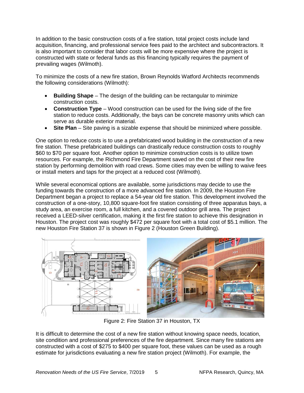In addition to the basic construction costs of a fire station, total project costs include land acquisition, financing, and professional service fees paid to the architect and subcontractors. It is also important to consider that labor costs will be more expensive where the project is constructed with state or federal funds as this financing typically requires the payment of prevailing wages (Wilmoth).

To minimize the costs of a new fire station, Brown Reynolds Watford Architects recommends the following considerations (Wilmoth):

- **Building Shape** The design of the building can be rectangular to minimize construction costs.
- **Construction Type** Wood construction can be used for the living side of the fire station to reduce costs. Additionally, the bays can be concrete masonry units which can serve as durable exterior material.
- **Site Plan** Site paving is a sizable expense that should be minimized where possible.

One option to reduce costs is to use a prefabricated wood building in the construction of a new fire station. These prefabricated buildings can drastically reduce construction costs to roughly \$60 to \$70 per square foot. Another option to minimize construction costs is to utilize town resources. For example, the Richmond Fire Department saved on the cost of their new fire station by performing demolition with road crews. Some cities may even be willing to waive fees or install meters and taps for the project at a reduced cost (Wilmoth).

While several economical options are available, some jurisdictions may decide to use the funding towards the construction of a more advanced fire station. In 2009, the Houston Fire Department began a project to replace a 54-year old fire station. This development involved the construction of a one-story, 10,800 square-foot fire station consisting of three apparatus bays, a study area, an exercise room, a full kitchen, and a covered outdoor grill area. The project received a LEED-silver certification, making it the first fire station to achieve this designation in Houston. The project cost was roughly \$472 per square foot with a total cost of \$5.1 million. The new Houston Fire Station 37 is shown in Figure 2 (Houston Green Building).



Figure 2: Fire Station 37 in Houston, TX

It is difficult to determine the cost of a new fire station without knowing space needs, location, site condition and professional preferences of the fire department. Since many fire stations are constructed with a cost of \$275 to \$400 per square foot, these values can be used as a rough estimate for jurisdictions evaluating a new fire station project (Wilmoth). For example, the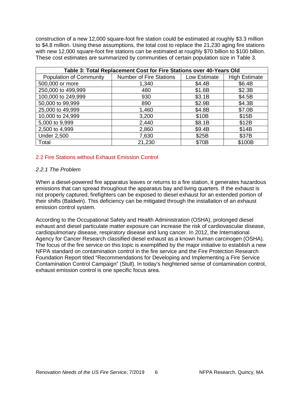construction of a new 12,000 square-foot fire station could be estimated at roughly \$3.3 million to \$4.8 million. Using these assumptions, the total cost to replace the 21,230 aging fire stations with new 12,000 square-foot fire stations can be estimated at roughly \$70 billion to \$100 billion. These cost estimates are summarized by communities of certain population size in Table 3.

| Table 3: Total Replacement Cost for Fire Stations over 40-Years Old |                                |              |                      |
|---------------------------------------------------------------------|--------------------------------|--------------|----------------------|
| <b>Population of Community</b>                                      | <b>Number of Fire Stations</b> | Low Estimate | <b>High Estimate</b> |
| 500,000 or more                                                     | 1,340                          | \$4.4B       | \$6.4B               |
| 250,000 to 499,999                                                  | 480                            | \$1.6B       | \$2.3B               |
| 100,000 to 249,999                                                  | 930                            | \$3.1B       | \$4.5B               |
| 50,000 to 99,999                                                    | 890                            | \$2.9B       | \$4.3B               |
| 25,000 to 49,999                                                    | 1,460                          | \$4.8B       | \$7.0B               |
| 10,000 to 24,999                                                    | 3,200                          | \$10B        | \$15B                |
| 5,000 to 9,999                                                      | 2,440                          | \$8.1B       | \$12B                |
| 2,500 to 4,999                                                      | 2,860                          | \$9.4B       | \$14B                |
| <b>Under 2,500</b>                                                  | 7,630                          | \$25B        | \$37B                |
| Total                                                               | 21,230                         | \$70B        | \$100B               |

#### 2.2 Fire Stations without Exhaust Emission Control

#### *2.2.1 The Problem*

When a diesel-powered fire apparatus leaves or returns to a fire station, it generates hazardous emissions that can spread throughout the apparatus bay and living quarters. If the exhaust is not properly captured, firefighters can be exposed to diesel exhaust for an extended portion of their shifts (Baldwin). This deficiency can be mitigated through the installation of an exhaust emission control system.

According to the Occupational Safety and Health Administration (OSHA), prolonged diesel exhaust and diesel particulate matter exposure can increase the risk of cardiovascular disease, cardiopulmonary disease, respiratory disease and lung cancer. In 2012, the International Agency for Cancer Research classified diesel exhaust as a known human carcinogen (OSHA). The focus of the fire service on this topic is exemplified by the major initiative to establish a new NFPA standard on contamination control in the fire service and the Fire Protection Research Foundation Report titled "Recommendations for Developing and Implementing a Fire Service Contamination Control Campaign" (Stull). In today's heightened sense of contamination control, exhaust emission control is one specific focus area.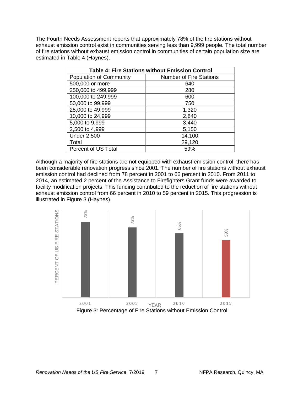The Fourth Needs Assessment reports that approximately 78% of the fire stations without exhaust emission control exist in communities serving less than 9,999 people. The total number of fire stations without exhaust emission control in communities of certain population size are estimated in Table 4 (Haynes).

| <b>Table 4: Fire Stations without Emission Control</b> |                                |  |
|--------------------------------------------------------|--------------------------------|--|
| Population of Community                                | <b>Number of Fire Stations</b> |  |
| 500,000 or more                                        | 640                            |  |
| 250,000 to 499,999                                     | 280                            |  |
| 100,000 to 249,999                                     | 600                            |  |
| 50,000 to 99,999                                       | 750                            |  |
| 25,000 to 49,999                                       | 1,320                          |  |
| 10,000 to 24,999                                       | 2,840                          |  |
| 5,000 to 9,999                                         | 3,440                          |  |
| 2,500 to 4,999                                         | 5,150                          |  |
| <b>Under 2,500</b>                                     | 14,100                         |  |
| Total                                                  | 29,120                         |  |
| <b>Percent of US Total</b>                             | 59%                            |  |

Although a majority of fire stations are not equipped with exhaust emission control, there has been considerable renovation progress since 2001. The number of fire stations without exhaust emission control had declined from 78 percent in 2001 to 66 percent in 2010. From 2011 to 2014, an estimated 2 percent of the Assistance to Firefighters Grant funds were awarded to facility modification projects. This funding contributed to the reduction of fire stations without exhaust emission control from 66 percent in 2010 to 59 percent in 2015. This progression is illustrated in Figure 3 (Haynes).

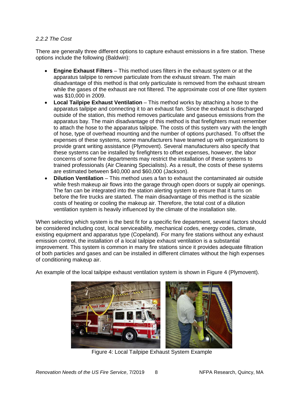#### *2.2.2 The Cost*

There are generally three different options to capture exhaust emissions in a fire station. These options include the following (Baldwin):

- **Engine Exhaust Filters** This method uses filters in the exhaust system or at the apparatus tailpipe to remove particulate from the exhaust stream. The main disadvantage of this method is that only particulate is removed from the exhaust stream while the gases of the exhaust are not filtered. The approximate cost of one filter system was \$10,000 in 2009.
- **Local Tailpipe Exhaust Ventilation** This method works by attaching a hose to the apparatus tailpipe and connecting it to an exhaust fan. Since the exhaust is discharged outside of the station, this method removes particulate and gaseous emissions from the apparatus bay. The main disadvantage of this method is that firefighters must remember to attach the hose to the apparatus tailpipe. The costs of this system vary with the length of hose, type of overhead mounting and the number of options purchased. To offset the expenses of these systems, some manufacturers have teamed up with organizations to provide grant writing assistance (Plymovent). Several manufacturers also specify that these systems can be installed by firefighters to offset expenses, however, the labor concerns of some fire departments may restrict the installation of these systems to trained professionals (Air Cleaning Specialists). As a result, the costs of these systems are estimated between \$40,000 and \$60,000 (Jackson).
- **Dilution Ventilation** This method uses a fan to exhaust the contaminated air outside while fresh makeup air flows into the garage through open doors or supply air openings. The fan can be integrated into the station alerting system to ensure that it turns on before the fire trucks are started. The main disadvantage of this method is the sizable costs of heating or cooling the makeup air. Therefore, the total cost of a dilution ventilation system is heavily influenced by the climate of the installation site.

When selecting which system is the best fit for a specific fire department, several factors should be considered including cost, local serviceability, mechanical codes, energy codes, climate, existing equipment and apparatus type (Copeland). For many fire stations without any exhaust emission control, the installation of a local tailpipe exhaust ventilation is a substantial improvement. This system is common in many fire stations since it provides adequate filtration of both particles and gases and can be installed in different climates without the high expenses of conditioning makeup air.

An example of the local tailpipe exhaust ventilation system is shown in Figure 4 (Plymovent).



Figure 4: Local Tailpipe Exhaust System Example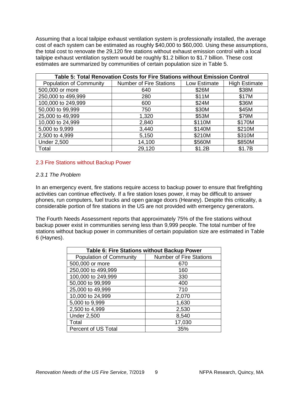Assuming that a local tailpipe exhaust ventilation system is professionally installed, the average cost of each system can be estimated as roughly \$40,000 to \$60,000. Using these assumptions, the total cost to renovate the 29,120 fire stations without exhaust emission control with a local tailpipe exhaust ventilation system would be roughly \$1.2 billion to \$1.7 billion. These cost estimates are summarized by communities of certain population size in Table 5.

| Table 5: Total Renovation Costs for Fire Stations without Emission Control |                                |              |                      |
|----------------------------------------------------------------------------|--------------------------------|--------------|----------------------|
| <b>Population of Community</b>                                             | <b>Number of Fire Stations</b> | Low Estimate | <b>High Estimate</b> |
| 500,000 or more                                                            | 640                            | \$26M        | \$38M                |
| 250,000 to 499,999                                                         | 280                            | \$11M        | \$17M                |
| 100,000 to 249,999                                                         | 600                            | \$24M        | \$36M                |
| 50,000 to 99,999                                                           | 750                            | \$30M        | \$45M                |
| 25,000 to 49,999                                                           | 1,320                          | \$53M        | \$79M                |
| 10,000 to 24,999                                                           | 2,840                          | \$110M       | \$170M               |
| 5,000 to 9,999                                                             | 3,440                          | \$140M       | \$210M               |
| 2,500 to 4,999                                                             | 5,150                          | \$210M       | \$310M               |
| <b>Under 2,500</b>                                                         | 14,100                         | \$560M       | \$850M               |
| Total                                                                      | 29,120                         | \$1.2B       | \$1.7B               |

#### 2.3 Fire Stations without Backup Power

#### *2.3.1 The Problem*

In an emergency event, fire stations require access to backup power to ensure that firefighting activities can continue effectively. If a fire station loses power, it may be difficult to answer phones, run computers, fuel trucks and open garage doors (Heaney). Despite this criticality, a considerable portion of fire stations in the US are not provided with emergency generators.

The Fourth Needs Assessment reports that approximately 75% of the fire stations without backup power exist in communities serving less than 9,999 people. The total number of fire stations without backup power in communities of certain population size are estimated in Table 6 (Haynes).

| <b>Table 6: Fire Stations without Backup Power</b> |                                |  |  |
|----------------------------------------------------|--------------------------------|--|--|
| <b>Population of Community</b>                     | <b>Number of Fire Stations</b> |  |  |
| 500,000 or more                                    | 670                            |  |  |
| 250,000 to 499,999                                 | 160                            |  |  |
| 100,000 to 249,999                                 | 330                            |  |  |
| 50,000 to 99,999                                   | 400                            |  |  |
| 25,000 to 49,999                                   | 710                            |  |  |
| 10,000 to 24,999                                   | 2,070                          |  |  |
| 5,000 to 9,999                                     | 1,630                          |  |  |
| 2,500 to 4,999                                     | 2,530                          |  |  |
| <b>Under 2,500</b>                                 | 8,540                          |  |  |
| Total                                              | 17,030                         |  |  |
| <b>Percent of US Total</b>                         | 35%                            |  |  |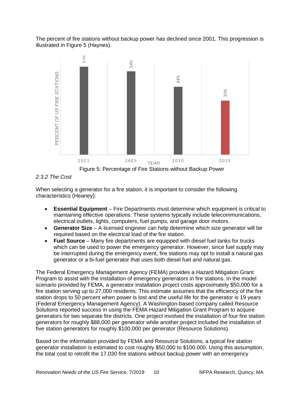The percent of fire stations without backup power has declined since 2001. This progression is illustrated in Figure 5 (Haynes).



*2.3.2 The Cost*

When selecting a generator for a fire station, it is important to consider the following characteristics (Heaney):

- **Essential Equipment** Fire Departments must determine which equipment is critical to maintaining effective operations. These systems typically include telecommunications, electrical outlets, lights, computers, fuel pumps, and garage door motors.
- **Generator Size** A licensed engineer can help determine which size generator will be required based on the electrical load of the fire station.
- **Fuel Source** Many fire departments are equipped with diesel fuel tanks for trucks which can be used to power the emergency generator. However, since fuel supply may be interrupted during the emergency event, fire stations may opt to install a natural gas generator or a bi-fuel generator that uses both diesel fuel and natural gas.

The Federal Emergency Management Agency (FEMA) provides a Hazard Mitigation Grant Program to assist with the installation of emergency generators in fire stations. In the model scenario provided by FEMA, a generator installation project costs approximately \$50,000 for a fire station serving up to 27,000 residents. This estimate assumes that the efficiency of the fire station drops to 50 percent when power is lost and the useful life for the generator is 19 years (Federal Emergency Management Agency). A Washington-based company called Resource Solutions reported success in using the FEMA Hazard Mitigation Grant Program to acquire generators for two separate fire districts. One project involved the installation of four fire station generators for roughly \$88,000 per generator while another project included the installation of five station generators for roughly \$100,000 per generator (Resource Solutions).

Based on the information provided by FEMA and Resource Solutions, a typical fire station generator installation is estimated to cost roughly \$50,000 to \$100,000. Using this assumption, the total cost to retrofit the 17,030 fire stations without backup power with an emergency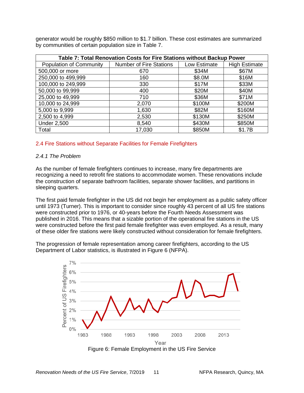generator would be roughly \$850 million to \$1.7 billion. These cost estimates are summarized by communities of certain population size in Table 7.

| Table 7: Total Renovation Costs for Fire Stations without Backup Power |                                |              |                      |
|------------------------------------------------------------------------|--------------------------------|--------------|----------------------|
| <b>Population of Community</b>                                         | <b>Number of Fire Stations</b> | Low Estimate | <b>High Estimate</b> |
| 500,000 or more                                                        | 670                            | \$34M        | \$67M                |
| 250,000 to 499,999                                                     | 160                            | \$8.0M       | \$16M                |
| 100,000 to 249,999                                                     | 330                            | \$17M        | \$33M                |
| 50,000 to 99,999                                                       | 400                            | \$20M        | \$40M                |
| 25,000 to 49,999                                                       | 710                            | \$36M        | \$71M                |
| 10,000 to 24,999                                                       | 2,070                          | \$100M       | \$200M               |
| 5,000 to 9,999                                                         | 1,630                          | \$82M        | \$160M               |
| 2,500 to 4,999                                                         | 2,530                          | \$130M       | \$250M               |
| <b>Under 2,500</b>                                                     | 8,540                          | \$430M       | \$850M               |
| Total                                                                  | 17,030                         | \$850M       | \$1.7B               |

#### 2.4 Fire Stations without Separate Facilities for Female Firefighters

#### *2.4.1 The Problem*

As the number of female firefighters continues to increase, many fire departments are recognizing a need to retrofit fire stations to accommodate women. These renovations include the construction of separate bathroom facilities, separate shower facilities, and partitions in sleeping quarters.

The first paid female firefighter in the US did not begin her employment as a public safety officer until 1973 (Turner). This is important to consider since roughly 43 percent of all US fire stations were constructed prior to 1976, or 40-years before the Fourth Needs Assessment was published in 2016. This means that a sizable portion of the operational fire stations in the US were constructed before the first paid female firefighter was even employed. As a result, many of these older fire stations were likely constructed without consideration for female firefighters.

The progression of female representation among career firefighters, according to the US Department of Labor statistics, is illustrated in Figure 6 (NFPA).

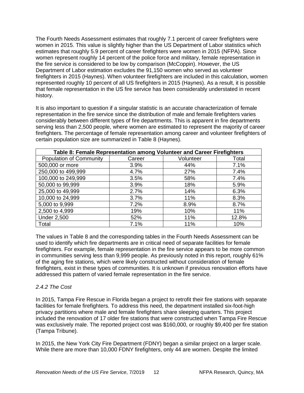The Fourth Needs Assessment estimates that roughly 7.1 percent of career firefighters were women in 2015. This value is slightly higher than the US Department of Labor statistics which estimates that roughly 5.9 percent of career firefighters were women in 2015 (NFPA). Since women represent roughly 14 percent of the police force and military, female representation in the fire service is considered to be low by comparison (McCoppin). However, the US Department of Labor estimation excludes the 91,150 women who served as volunteer firefighters in 2015 (Haynes). When volunteer firefighters are included in this calculation, women represented roughly 10 percent of all US firefighters in 2015 (Haynes). As a result, it is possible that female representation in the US fire service has been considerably understated in recent history.

It is also important to question if a singular statistic is an accurate characterization of female representation in the fire service since the distribution of male and female firefighters varies considerably between different types of fire departments. This is apparent in fire departments serving less than 2,500 people, where women are estimated to represent the majority of career firefighters. The percentage of female representation among career and volunteer firefighters of certain population size are summarized in Table 8 (Haynes).

| Table 8: Female Representation among Volunteer and Career Firefighters |        |           |       |
|------------------------------------------------------------------------|--------|-----------|-------|
| <b>Population of Community</b>                                         | Career | Volunteer | Total |
| 500,000 or more                                                        | 3.9%   | 44%       | 7.1%  |
| 250,000 to 499,999                                                     | 4.7%   | 27%       | 7.4%  |
| 100,000 to 249,999                                                     | 3.5%   | 58%       | 7.4%  |
| 50,000 to 99,999                                                       | 3.9%   | 18%       | 5.9%  |
| 25,000 to 49,999                                                       | 2.7%   | 14%       | 6.3%  |
| 10,000 to 24,999                                                       | 3.7%   | 11%       | 8.3%  |
| 5,000 to 9,999                                                         | 7.2%   | 8.9%      | 8.7%  |
| 2,500 to 4,999                                                         | 19%    | 10%       | 11%   |
| <b>Under 2,500</b>                                                     | 52%    | 11%       | 12.8% |
| Total                                                                  | 7.1%   | 11%       | 10%   |

The values in Table 8 and the corresponding tables in the Fourth Needs Assessment can be used to identify which fire departments are in critical need of separate facilities for female firefighters. For example, female representation in the fire service appears to be more common in communities serving less than 9,999 people. As previously noted in this report, roughly 61% of the aging fire stations, which were likely constructed without consideration of female firefighters, exist in these types of communities. It is unknown if previous renovation efforts have addressed this pattern of varied female representation in the fire service.

#### *2.4.2 The Cost*

In 2015, Tampa Fire Rescue in Florida began a project to retrofit their fire stations with separate facilities for female firefighters. To address this need, the department installed six-foot-high privacy partitions where male and female firefighters share sleeping quarters. This project included the renovation of 17 older fire stations that were constructed when Tampa Fire Rescue was exclusively male. The reported project cost was \$160,000, or roughly \$9,400 per fire station (Tampa Tribune).

In 2015, the New York City Fire Department (FDNY) began a similar project on a larger scale. While there are more than 10,000 FDNY firefighters, only 44 are women. Despite the limited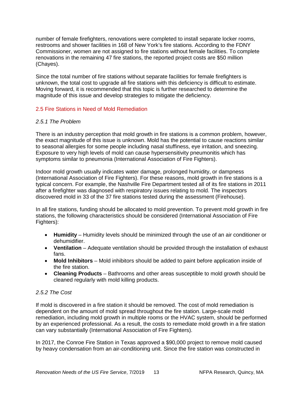number of female firefighters, renovations were completed to install separate locker rooms, restrooms and shower facilities in 168 of New York's fire stations. According to the FDNY Commissioner, women are not assigned to fire stations without female facilities. To complete renovations in the remaining 47 fire stations, the reported project costs are \$50 million (Chayes).

Since the total number of fire stations without separate facilities for female firefighters is unknown, the total cost to upgrade all fire stations with this deficiency is difficult to estimate. Moving forward, it is recommended that this topic is further researched to determine the magnitude of this issue and develop strategies to mitigate the deficiency.

#### 2.5 Fire Stations in Need of Mold Remediation

#### *2.5.1 The Problem*

There is an industry perception that mold growth in fire stations is a common problem, however, the exact magnitude of this issue is unknown. Mold has the potential to cause reactions similar to seasonal allergies for some people including nasal stuffiness, eye irritation, and sneezing. Exposure to very high levels of mold can cause hypersensitivity pneumonitis which has symptoms similar to pneumonia (International Association of Fire Fighters).

Indoor mold growth usually indicates water damage, prolonged humidity, or dampness (International Association of Fire Fighters). For these reasons, mold growth in fire stations is a typical concern. For example, the Nashville Fire Department tested all of its fire stations in 2011 after a firefighter was diagnosed with respiratory issues relating to mold. The inspectors discovered mold in 33 of the 37 fire stations tested during the assessment (Firehouse).

In all fire stations, funding should be allocated to mold prevention. To prevent mold growth in fire stations, the following characteristics should be considered (International Association of Fire Fighters):

- **Humidity** Humidity levels should be minimized through the use of an air conditioner or dehumidifier.
- **Ventilation** Adequate ventilation should be provided through the installation of exhaust fans.
- **Mold Inhibitors** Mold inhibitors should be added to paint before application inside of the fire station.
- **Cleaning Products** Bathrooms and other areas susceptible to mold growth should be cleaned regularly with mold killing products.

#### *2.5.2 The Cost*

If mold is discovered in a fire station it should be removed. The cost of mold remediation is dependent on the amount of mold spread throughout the fire station. Large-scale mold remediation, including mold growth in multiple rooms or the HVAC system, should be performed by an experienced professional. As a result, the costs to remediate mold growth in a fire station can vary substantially (International Association of Fire Fighters).

In 2017, the Conroe Fire Station in Texas approved a \$90,000 project to remove mold caused by heavy condensation from an air-conditioning unit. Since the fire station was constructed in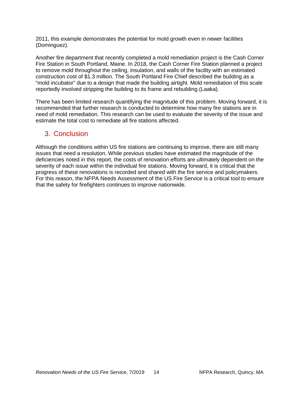2011, this example demonstrates the potential for mold growth even in newer facilities (Dominguez).

Another fire department that recently completed a mold remediation project is the Cash Corner Fire Station in South Portland, Maine. In 2018, the Cash Corner Fire Station planned a project to remove mold throughout the ceiling, insulation, and walls of the facility with an estimated construction cost of \$1.3 million. The South Portland Fire Chief described the building as a "mold incubator" due to a design that made the building airtight. Mold remediation of this scale reportedly involved stripping the building to its frame and rebuilding (Laaka).

There has been limited research quantifying the magnitude of this problem. Moving forward, it is recommended that further research is conducted to determine how many fire stations are in need of mold remediation. This research can be used to evaluate the severity of the issue and estimate the total cost to remediate all fire stations affected.

## 3. Conclusion

Although the conditions within US fire stations are continuing to improve, there are still many issues that need a resolution. While previous studies have estimated the magnitude of the deficiencies noted in this report, the costs of renovation efforts are ultimately dependent on the severity of each issue within the individual fire stations. Moving forward, it is critical that the progress of these renovations is recorded and shared with the fire service and policymakers. For this reason, the NFPA Needs Assessment of the US Fire Service is a critical tool to ensure that the safety for firefighters continues to improve nationwide.